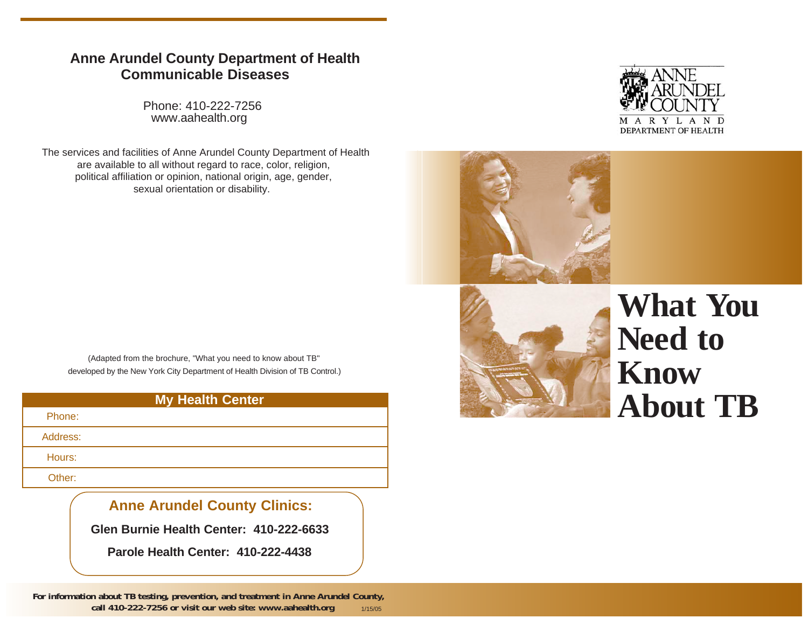# **Anne Arundel County Department of Health Communicable Diseases**

Phone: 410-222-7256www.aahealth.org

The services and facilities of Anne Arundel County Department of Health are available to all without regard to race, color, religion, political affiliation or opinion, national origin, age, gender, sexual orientation or disability.

(Adapted from the brochure, "What you need to know about TB" developed by the New York City Department of Health Division of TB Control.)

#### **My Health Center**

Phone:

Address:

Hours:

Other:

# **Anne Arundel County Clinics:**

**Glen Burnie Health Center: 410-222-6633**

**Parole Health Center: 410-222-4438**

**For information about TB testing, prevention, and treatment in Anne Arundel County, call 410-222-7256 or visit our web site: www.aahealth.org** 1/15/05





# **What YouNeed to KnowAbout TB**